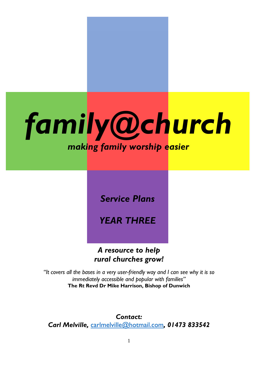

*Service Plans*

*YEAR THREE*

*A resource to help rural churches grow!*

*"It covers all the bases in a very user-friendly way and I can see why it is so immediately accessible and popular with families"* **The Rt Revd Dr Mike Harrison, Bishop of Dunwich**

*Contact: Carl Melville,* [carlmelville@hotmail.com](mailto:carlmelville@hotmail.com)*, 01473 833542*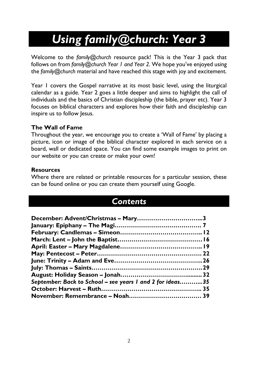# *Using family@church: Year 3*

Welcome to the *family@church* resource pack! This is the Year 3 pack that follows on from *family@church Year 1 and Year 2.* We hope you've enjoyed using the *family@church* material and have reached this stage with joy and excitement.

Year 1 covers the Gospel narrative at its most basic level, using the liturgical calendar as a guide. Year 2 goes a little deeper and aims to highlight the call of individuals and the basics of Christian discipleship (the bible, prayer etc). Year 3 focuses on biblical characters and explores how their faith and discipleship can inspire us to follow Jesus.

## **The Wall of Fame**

Throughout the year, we encourage you to create a 'Wall of Fame' by placing a picture, icon or image of the biblical character explored in each service on a board, wall or dedicated space. You can find some example images to print on our website or you can create or make your own!

## **Resources**

Where there are related or printable resources for a particular session, these can be found online or you can create them yourself using Google.

## *Contents*

| September: Back to School - see years I and 2 for ideas35 |  |
|-----------------------------------------------------------|--|
|                                                           |  |
|                                                           |  |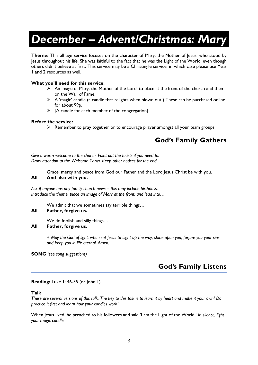# *December – Advent/Christmas: Mary*

**Theme:** This all age service focuses on the character of Mary, the Mother of Jesus, who stood by Jesus throughout his life. She was faithful to the fact that he was the Light of the World, even though others didn't believe at first. This service may be a Christingle service, in which case please use Year 1 and 2 resources as well.

#### **What you'll need for this service:**

- $\triangleright$  An image of Mary, the Mother of the Lord, to place at the front of the church and then on the Wall of Fame.
- $\triangleright$  A 'magic' candle (a candle that relights when blown out!) These can be purchased online for about 99p.
- $\triangleright$  [A candle for each member of the congregation]

#### **Before the service:**

 $\triangleright$  Remember to pray together or to encourage prayer amongst all your team groups.

## **God's Family Gathers**

*Give a warm welcome to the church. Point out the toilets if you need to. Draw attention to the Welcome Cards. Keep other notices for the end.*

Grace, mercy and peace from God our Father and the Lord Jesus Christ be with you. **All And also with you.**

*Ask if anyone has any family church news – this may include birthdays. Introduce the theme, place an image of Mary at the front, and lead into…*

We admit that we sometimes say terrible things…

#### **All Father, forgive us.**

We do foolish and silly things… **All Father, forgive us.**

> *+ May the God of light, who sent Jesus to Light up the way, shine upon you, forgive you your sins and keep you in life eternal. Amen.*

**SONG** *(see song suggestions)*

## **God's Family Listens**

#### **Reading:** Luke 1: 46-55 (or John 1)

#### **Talk**

*There are several versions of this talk. The key to this talk is to learn it by heart and make it your own! Do practice it first and learn how your candles work!*

When Jesus lived, he preached to his followers and said 'I am the Light of the World.' *In silence, light your magic candle.*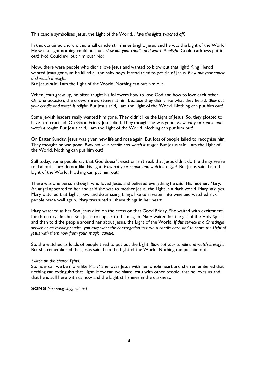This candle symbolises Jesus, the Light of the World. *Have the lights switched off.*

In this darkened church, this small candle still shines bright. Jesus said he was the Light of the World. He was a Light nothing could put out. *Blow out your candle and watch it relight.* Could darkness put it out? No! Could evil put him out? No!

Now, there were people who didn't love Jesus and wanted to blow out that light! King Herod wanted Jesus gone, so he killed all the baby boys. Herod tried to get rid of Jesus. *Blow out your candle and watch it relight.*

But Jesus said, I am the Light of the World. Nothing can put him out!

When Jesus grew up, he often taught his followers how to love God and how to love each other. On one occasion, the crowd threw stones at him because they didn't like what they heard. *Blow out your candle and watch it relight.* But Jesus said, I am the Light of the World. Nothing can put him out!

Some Jewish leaders really wanted him gone. They didn't like the Light of Jesus! So, they plotted to have him crucified. On Good Friday Jesus died. They thought he was gone! *Blow out your candle and* watch it relight. But Jesus said, I am the Light of the World. Nothing can put him out!

On Easter Sunday, Jesus was given new life and rose again. But lots of people failed to recognise him. They thought he was gone. *Blow out your candle and watch it relight.* But Jesus said, I am the Light of the World. Nothing can put him out!

Still today, some people say that God doesn't exist or isn't real, that Jesus didn't do the things we're told about. They do not like his light. *Blow out your candle and watch it relight.* But Jesus said, I am the Light of the World. Nothing can put him out!

There was one person though who loved Jesus and believed everything he said. His mother, Mary. An angel appeared to her and said she was to mother Jesus, the Light in a dark world. Mary said yes. Mary watched that Light grow and do amazing things like turn water into wine and watched sick people made well again. Mary treasured all these things in her heart.

Mary watched as her Son Jesus died on the cross on that Good Friday. She waited with excitement for three days for her Son Jesus to appear to them again. Mary waited for the gift of the Holy Spirit and then told the people around her about Jesus, the Light of the World. *If this service is a Christingle service or an evening service, you may want the congregation to have a candle each and to share the Light of Jesus with them now from your 'magic' candle.*

So, she watched as loads of people tried to put out the Light. *Blow out your candle and watch it relight.* But she remembered that Jesus said, I am the Light of the World. Nothing can put him out!

#### *Switch on the church lights.*

So, how can we be more like Mary? She loves Jesus with her whole heart and she remembered that nothing can extinguish that Light. How can we share Jesus with other people, that he loves us and that he is still here with us now and the Light still shines in the darkness.

**SONG** *(see song suggestions)*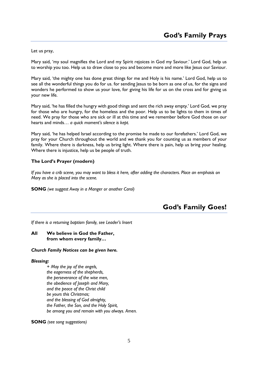Let us pray,

Mary said, 'my soul magnifies the Lord and my Spirit rejoices in God my Saviour.' Lord God, help us to worship you too. Help us to draw close to you and become more and more like Jesus our Saviour.

Mary said, 'the mighty one has done great things for me and Holy is his name.' Lord God, help us to see all the wonderful things you do for us. for sending Jesus to be born as one of us, for the signs and wonders he performed to show us your love, for giving his life for us on the cross and for giving us your new life.

Mary said, 'he has filled the hungry with good things and sent the rich away empty.' Lord God, we pray for those who are hungry, for the homeless and the poor. Help us to be lights to them in times of need. We pray for those who are sick or ill at this time and we remember before God those on our hearts and minds… *a quick moment's silence is kept.*

Mary said, 'he has helped Israel according to the promise he made to our forefathers.' Lord God, we pray for your Church throughout the world and we thank you for counting us as members of your family. Where there is darkness, help us bring light. Where there is pain, help us bring your healing. Where there is injustice, help us be people of truth.

#### **The Lord's Prayer (modern)**

*If you have a crib scene, you may want to bless it here, after adding the characters. Place an emphasis on Mary as she is placed into the scene.*

**SONG** *(we suggest Away in a Manger or another Carol)*

## **God's Family Goes!**

*If there is a returning baptism family, see Leader's Insert*

#### **All We believe in God the Father, from whom every family…**

*Church Family Notices can be given here.*

#### *Blessing:*

*+ May the joy of the angels, the eagerness of the shepherds, the perseverance of the wise men, the obedience of Joseph and Mary, and the peace of the Christ child be yours this Christmas; and the blessing of God almighty, the Father, the Son, and the Holy Spirit, be among you and remain with you always. Amen.*

**SONG** *(see song suggestions)*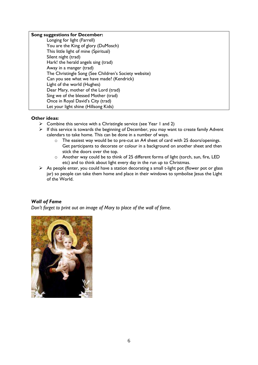#### **Song suggestions for December:**

| $1011$ $10121$ $10121$ $10121$                        |
|-------------------------------------------------------|
| Longing for light (Farrell)                           |
| You are the King of glory (DuMosch)                   |
| This little light of mine (Spiritual)                 |
| Silent night (trad)                                   |
| Hark! the herald angels sing (trad)                   |
| Away in a manger (trad)                               |
| The Christingle Song (See Children's Society website) |
| Can you see what we have made? (Kendrick)             |
| Light of the world (Hughes)                           |
| Dear Mary, mother of the Lord (trad)                  |
| Sing we of the blessed Mother (trad)                  |
| Once in Royal David's City (trad)                     |
| Let your light shine (Hillsong Kids)                  |
|                                                       |

#### **Other ideas:**

- $\triangleright$  Combine this service with a Christingle service (see Year 1 and 2)
- ➢ If this service is towards the beginning of December, you may want to create family Advent calendars to take home. This can be done in a number of ways.
	- o The easiest way would be to pre-cut an A4 sheet of card with 25 doors/openings. Get participants to decorate or colour in a background on another sheet and then stick the doors over the top.
	- o Another way could be to think of 25 different forms of light (torch, sun, fire, LED etc) and to think about light every day in the run up to Christmas.
- ➢ As people enter, you could have a station decorating a small t-light pot (flower pot or glass jar) so people can take them home and place in their windows to symbolise Jesus the Light of the World.

#### *Wall of Fame*

*Don't forget to print out an image of Mary to place of the wall of fame.*

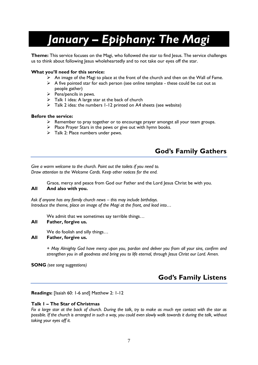# *January – Epiphany: The Magi*

**Theme:** This service focuses on the Magi, who followed the star to find Jesus. The service challenges us to think about following Jesus wholeheartedly and to not take our eyes off the star.

#### **What you'll need for this service:**

- $\triangleright$  An image of the Magi to place at the front of the church and then on the Wall of Fame.
- $\triangleright$  A five pointed star for each person (see online template these could be cut out as people gather)
- ➢ Pens/pencils in pews.
- ➢ Talk 1 idea: A large star at the back of church
- ➢ Talk 2 idea: the numbers 1-12 printed on A4 sheets (see website)

#### **Before the service:**

- ➢ Remember to pray together or to encourage prayer amongst all your team groups.
- ➢ Place Prayer Stars in the pews or give out with hymn books.
- ➢ Talk 2: Place numbers under pews.

## **God's Family Gathers**

*Give a warm welcome to the church. Point out the toilets if you need to. Draw attention to the Welcome Cards. Keep other notices for the end.*

Grace, mercy and peace from God our Father and the Lord Jesus Christ be with you. **All And also with you.**

## *Ask if anyone has any family church news – this may include birthdays.*

*Introduce the theme, place an image of the Magi at the front, and lead into…*

We admit that we sometimes say terrible things...

#### **All Father, forgive us.**

We do foolish and silly things…

#### **All Father, forgive us.**

*+ May Almighty God have mercy upon you, pardon and deliver you from all your sins, confirm and strengthen you in all goodness and bring you to life eternal, through Jesus Christ our Lord. Amen.*

**SONG** *(see song suggestions)*

## **God's Family Listens**

#### **Readings:** [Isaiah 60: 1-6 and] Matthew 2: 1-12

#### **Talk 1 – The Star of Christmas**

*Fix a large star at the back of church. During the talk, try to make as much eye contact with the star as possible. If the church is arranged in such a way, you could even slowly walk towards it during the talk, without taking your eyes off it.*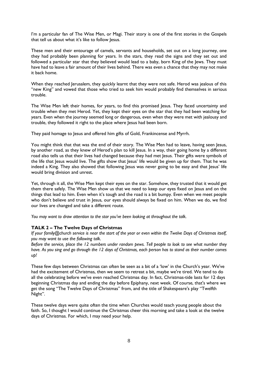I'm a particular fan of The Wise Men, or Magi. Their story is one of the first stories in the Gospels that tell us about what it's like to follow Jesus.

These men and their entourage of camels, servants and households, set out on a long journey, one they had probably been planning for years. In the stars, they read the signs and they set out and followed a particular star that they believed would lead to a baby, born King of the Jews. They must have had to leave a fair amount of their lives behind. There was even a chance that they may not make it back home.

When they reached Jerusalem, they quickly learnt that they were not safe. Herod was jealous of this "new King" and vowed that those who tried to seek him would probably find themselves in serious trouble.

The Wise Men left their homes, for years, to find this promised Jesus. They faced uncertainty and trouble when they met Herod. Yet, they kept their eyes on the star that they had been watching for years. Even when the journey seemed long or dangerous, even when they were met with jealousy and trouble, they followed it right to the place where Jesus had been born.

They paid homage to Jesus and offered him gifts of Gold, Frankincense and Myrrh.

You might think that that was the end of their story. The Wise Men had to leave, having seen Jesus, by another road, as they knew of Herod's plan to kill Jesus. In a way, their going home by a different road also tells us that their lives had changed because they had met Jesus. Their gifts were symbols of the life that Jesus would live. The gifts show that Jesus' life would be given up for them. That he was indeed a King. They also showed that following Jesus was never going to be easy and that Jesus' life would bring division and unrest.

Yet, through it all, the Wise Men kept their eyes on the star. Somehow, they trusted that it would get them there safely. The Wise Men show us that we need to keep our eyes fixed on Jesus and on the things that lead to him. Even when it's tough and the road is a bit bumpy. Even when we meet people who don't believe and trust in Jesus, our eyes should always be fixed on him. When we do, we find our lives are changed and take a different route.

*You may want to draw attention to the star you've been looking at throughout the talk.*

#### **TALK 2 – The Twelve Days of Christmas**

*If your family@church service is near the start of the year or even within the Twelve Days of Christmas itself, you may want to use the following talk.*

*Before the service, place the 12 numbers under random pews. Tell people to look to see what number they have. As you sing and go through the 12 days of Christmas, each person has to stand as their number comes up!*

These few days between Christmas can often be seen as a bit of a 'low' in the Church's year. We've had the excitement of Christmas, then we seem to retreat a bit, maybe we're tired. We tend to do all the celebrating before we've even reached Christmas day. In fact, Christmas-tide lasts for 12 days beginning Christmas day and ending the day before Epiphany, next week. Of course, that's where we get the song "The Twelve Days of Christmas" from, and the title of Shakespeare's play "Twelfth Night".

These twelve days were quite often the time when Churches would teach young people about the faith. So, I thought I would continue the Christmas cheer this morning and take a look at the twelve days of Christmas. For which, I may need your help.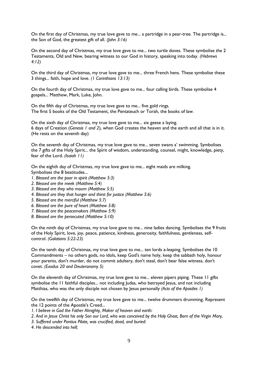On the first day of Christmas, my true love gave to me... a partridge in a pear-tree. The partridge is... the Son of God, the greatest gift of all. *(John 3:16)*

On the second day of Christmas, my true love gave to me... two turtle doves. These symbolise the 2 Testaments, Old and New, bearing witness to our God in history, speaking into today. *(Hebrews 4:12)*

On the third day of Christmas, my true love gave to me... three French hens. These symbolise these 3 things... faith, hope and love. *(1 Corinthians 13:13)*

On the fourth day of Christmas, my true love gave to me... four calling birds. These symbolise 4 gospels... Matthew, Mark, Luke, John.

On the fifth day of Christmas, my true love gave to me... five gold rings. The first 5 books of the Old Testament, the Pentateuch or Torah, the books of law.

On the sixth day of Christmas, my true love gave to me... six geese a laying. 6 days of Creation (*Genesis 1 and 2*), when God creates the heaven and the earth and all that is in it. (He rests on the seventh day)

On the seventh day of Christmas, my true love gave to me... seven swans a' swimming. Symbolises the 7 gifts of the Holy Spirit... the Spirit of wisdom, understanding, counsel, might, knowledge, piety, fear of the Lord. *(Isaiah 11)*

On the eighth day of Christmas, my true love gave to me... eight maids are milking. Symbolises the 8 beatitudes...

- *1. Blessed are the poor in spirit (Matthew 5:3)*
- *2. Blessed are the meek (Matthew 5:4)*
- *3. Blessed are they who mourn (Matthew 5:5)*
- *4. Blessed are they that hunger and thirst for justice (Matthew 5:6)*
- *5. Blessed are the merciful (Matthew 5:7)*
- *6. Blessed are the pure of heart (Matthew 5:8)*
- *7. Blessed are the peacemakers (Matthew 5:9)*
- *8. Blessed are the persecuted (Matthew 5:10)*

On the ninth day of Christmas, my true love gave to me... nine ladies dancing. Symbolises the 9 fruits of the Holy Spirit, love, joy, peace, patience, kindness, generosity, faithfulness, gentleness, selfcontrol. *(Galatians 5:22-23)*

On the tenth day of Christmas, my true love gave to me... ten lords a-leaping. Symbolises the 10 Commandments – no others gods, no idols, keep God's name holy, keep the sabbath holy, honour your parents, don't murder, do not commit adultery, don't steal, don't bear false witness, don't covet. *(Exodus 20 and Deuteronomy 5)*

On the eleventh day of Christmas, my true love gave to me... eleven pipers piping. These 11 gifts symbolise the 11 faithful disciples... not including Judas, who betrayed Jesus, and not including Matthias, who was the only disciple not chosen by Jesus personally *(Acts of the Apostles 1)*

On the twelfth day of Christmas, my true love gave to me... twelve drummers drumming. Represent the 12 points of the Apostle's Creed...

- *1. I believe in God the Father Almighty, Maker of heaven and earth:*
- *2. And in Jesus Christ his only Son our Lord, who was conceived by the Holy Ghost, Born of the Virgin Mary,*
- *3. Suffered under Pontius Pilate, was crucified, dead, and buried:*
- *4. He descended into hell;*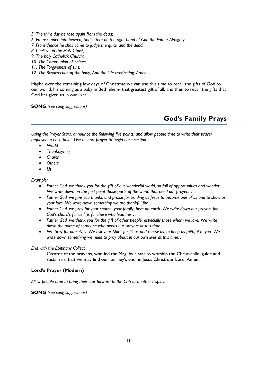- *5. The third day he rose again from the dead;*
- *6. He ascended into heaven, And sitteth on the right hand of God the Father Almighty;*
- *7. From thence he shall come to judge the quick and the dead.*
- *8. I believe in the Holy Ghost;*
- *9. The holy Catholick Church;*
- *10. The Communion of Saints;*
- *11. The Forgiveness of sins;*
- *12. The Resurrection of the body, And the Life everlasting. Amen.*

Maybe over the remaining few days of Christmas we can use this time to recall the gifts of God to our world, his coming as a baby in Bethlehem- that greatest gift of all, and then to recall the gifts that God has given us in our lives.

**SONG** *(see song suggestions)*

## **God's Family Prays**

*Using the Prayer Stars, announce the following five points, and allow people time to write their prayer requests on each point. Use a short prayer to begin each section.*

- *World*
- *Thanksgiving*
- *Church*
- *Others*
- *Us*

*Example:*

- *Father God, we thank you for the gift of our wonderful world, so full of opportunities and wonder. We write down on the first point those parts of the world that need our prayers…*
- *Father God, we give you thanks and praise for sending us Jesus to become one of us and to show us your love. We write down something we are thankful for…*
- *Father God, we pray for your church, your family, here on earth. We write down our prayers for God's church, for its life, for those who lead her…*
- *Father God, we thank you for the gift of other people, especially those whom we love. We write down the name of someone who needs our prayers at this time…*
- *We pray for ourselves. We ask your Spirit for fill us and renew us, to keep us faithful to you. We write down something we need to pray about in our own lives at this time…*

#### *End with the Epiphany Collect*

Creator of the heavens, who led the Magi by a star to worship the Christ-child: guide and sustain us, that we may find our journey's end, in Jesus Christ our Lord. Amen.

#### **Lord's Prayer (Modern)**

*Allow people time to bring their star forward to the Crib or another display.*

**SONG** *(see song suggestions)*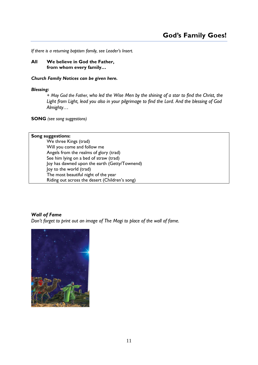*If there is a returning baptism family, see Leader's Insert.*

**All We believe in God the Father, from whom every family…**

#### *Church Family Notices can be given here.*

#### *Blessing:*

*+ May God the Father, who led the Wise Men by the shining of a star to find the Christ, the Light from Light, lead you also in your pilgrimage to find the Lord. And the blessing of God Almighty…* 

**SONG** *(see song suggestions)*

#### **Song suggestions:**

We three Kings (trad) Will you come and follow me Angels from the realms of glory (trad) See him lying on a bed of straw (trad) Joy has dawned upon the earth (Getty/Townend) Joy to the world (trad) The most beautiful night of the year Riding out across the desert (Children's song)

#### *Wall of Fame*

*Don't forget to print out an image of The Magi to place of the wall of fame.*

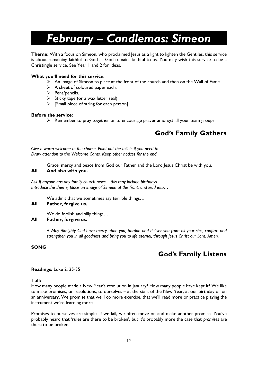# *February – Candlemas: Simeon*

**Theme:** With a focus on Simeon, who proclaimed Jesus as a light to lighten the Gentiles, this service is about remaining faithful to God as God remains faithful to us. You may wish this service to be a Christingle service. See Year 1 and 2 for ideas.

#### **What you'll need for this service:**

- $\triangleright$  An image of Simeon to place at the front of the church and then on the Wall of Fame.
- $\triangleright$  A sheet of coloured paper each.
- ➢ Pens/pencils.
- $\triangleright$  Sticky tape (or a wax letter seal)
- $\triangleright$  [Small piece of string for each person]

#### **Before the service:**

➢ Remember to pray together or to encourage prayer amongst all your team groups.

## **God's Family Gathers**

*Give a warm welcome to the church. Point out the toilets if you need to. Draw attention to the Welcome Cards. Keep other notices for the end.*

Grace, mercy and peace from God our Father and the Lord Jesus Christ be with you. **All And also with you.**

*Ask if anyone has any family church news – this may include birthdays. Introduce the theme, place an image of Simeon at the front, and lead into…*

We admit that we sometimes say terrible things…

#### **All Father, forgive us.**

We do foolish and silly things…

#### **All Father, forgive us.**

*+ May Almighty God have mercy upon you, pardon and deliver you from all your sins, confirm and strengthen you in all goodness and bring you to life eternal, through Jesus Christ our Lord. Amen.*

#### **SONG**

## **God's Family Listens**

#### **Readings:** Luke 2: 25-35

#### **Talk**

How many people made a New Year's resolution in January? How many people have kept it? We like to make promises, or resolutions, to ourselves – at the start of the New Year, at our birthday or on an anniversary. We promise that we'll do more exercise, that we'll read more or practice playing the instrument we're learning more.

Promises to ourselves are simple. If we fail, we often move on and make another promise. You've probably heard that 'rules are there to be broken', but it's probably more the case that *promises* are there to be broken.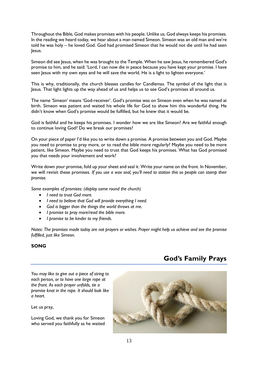Throughout the Bible, God makes promises with his people. Unlike us, God always keeps his promises. In the reading we heard today, we hear about a man named Simeon. Simeon was an old man and we're told he was holy – he loved God. God had promised Simeon that he would not die until he had seen Jesus.

Simeon did see Jesus, when he was brought to the Temple. When he saw Jesus, he remembered God's promise to him, and he said: 'Lord, I can now die in peace because you have kept your promise. I have seen Jesus with my own eyes and he will save the world. He is a light to lighten everyone.'

This is why, traditionally, the church blesses candles for Candlemas. The symbol of the light that is Jesus. That light lights up the way ahead of us and helps us to see God's promises all around us.

The name 'Simeon' means 'God-receiver'. God's promise was on Simeon even when he was named at birth. Simeon was patient and waited his whole life for God to show him this wonderful thing. He didn't know when God's promise would be fulfilled, but he knew that it would be.

God is faithful and he keeps his promises. I wonder how we are like Simeon? Are we faithful enough to continue loving God? Do we break our promises?

On your piece of paper I'd like you to write down a promise. A promise between you and God. Maybe you need to promise to pray more, or to read the bible more regularly? Maybe you need to be more patient, like Simeon. Maybe you need to trust that God keeps his promises. What has God promised you that needs your involvement and work?

Write down your promise, fold up your sheet and seal it. Write your name on the front. In November, we will revisit these promises. *If you use a wax seal, you'll need to station this so people can stamp their promise.*

*Some examples of promises: (display some round the church)*

- *I need to trust God more.*
- *I need to believe that God will provide everything I need.*
- *God is bigger than the things the world throws at me.*
- *I promise to pray more/read the bible more.*
- *I promise to be kinder to my friends.*

*Notes: The promises made today are not prayers or wishes. Prayer might help us achieve and see the promise fulfilled, just like Simeon.*

#### **SONG**

## **God's Family Prays**

*You may like to give out a piece of string to each person, or to have one large rope at the front. As each prayer unfolds, tie a promise knot in the rope. It should look like a heart.*

Let us pray,

Loving God, we thank you for Simeon who served you faithfully as he waited

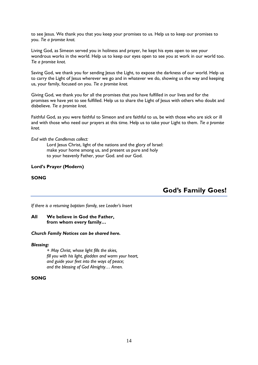to see Jesus. We thank you that you keep your promises to us. Help us to keep our promises to you. *Tie a promise knot.*

Living God, as Simeon served you in holiness and prayer, he kept his eyes open to see your wondrous works in the world. Help us to keep our eyes open to see you at work in our world too. *Tie a promise knot.*

Saving God, we thank you for sending Jesus the Light, to expose the darkness of our world. Help us to carry the Light of Jesus wherever we go and in whatever we do, showing us the way and keeping us, your family, focused on you. *Tie a promise knot.*

Giving God, we thank you for all the promises that you have fulfilled in our lives and for the promises we have yet to see fulfilled. Help us to share the Light of Jesus with others who doubt and disbelieve. *Tie a promise knot.*

Faithful God, as you were faithful to Simeon and are faithful to us, be with those who are sick or ill and with those who need our prayers at this time. Help us to take your Light to them. *Tie a promise knot.*

#### *End with the Candlemas collect:*

Lord Jesus Christ, light of the nations and the glory of Israel: make your home among us, and present us pure and holy to your heavenly Father, your God. and our God.

#### **Lord's Prayer (Modern)**

#### **SONG**

**God's Family Goes!**

*If there is a returning baptism family, see Leader's Insert*

#### **All We believe in God the Father, from whom every family…**

#### *Church Family Notices can be shared here.*

#### *Blessing:*

*+ May Christ, whose light fills the skies, fill you with his light, gladden and warm your heart, and guide your feet into the ways of peace; and the blessing of God Almighty… Amen.*

#### **SONG**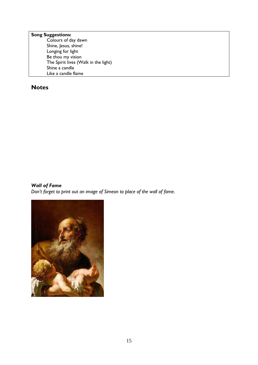## **Song Suggestions:**

Colours of day dawn Shine, Jesus, shine! Longing for light Be thou my vision The Spirit lives (Walk in the light) Shine a candle Like a candle flame

### **Notes**

#### *Wall of Fame*

*Don't forget to print out an image of Simeon to place of the wall of fame.*

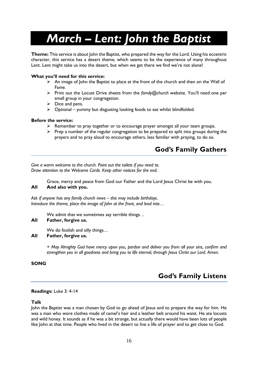# *March – Lent: John the Baptist*

**Theme:** This service is about John the Baptist, who prepared the way for the Lord. Using his eccentric character, this service has a desert theme, which seems to be the experience of many throughout Lent. Lent might take us into the desert, but when we get there we find we're not alone!

#### **What you'll need for this service:**

- ➢ An image of John the Baptist to place at the front of the church and then on the Wall of Fame.
- ➢ Print out the Locust Drive sheets from the *family@church* website. You'll need one per small group in your congregation.
- $\triangleright$  Dice and pens.
- $\triangleright$  Optional yummy but disgusting looking foods to eat whilst blindfolded.

#### **Before the service:**

- ➢ Remember to pray together or to encourage prayer amongst all your team groups.
- $\triangleright$  Prep a number of the regular congregation to be prepared to split into groups during the prayers and to pray aloud to encourage others, less familiar with praying, to do so.

## **God's Family Gathers**

*Give a warm welcome to the church. Point out the toilets if you need to. Draw attention to the Welcome Cards. Keep other notices for the end.*

Grace, mercy and peace from God our Father and the Lord Jesus Christ be with you.

#### **All And also with you.**

*Ask if anyone has any family church news – this may include birthdays. Introduce the theme, place the image of John at the front, and lead into…*

We admit that we sometimes say terrible things…

#### **All Father, forgive us.**

We do foolish and silly things...

#### **All Father, forgive us.**

*+ May Almighty God have mercy upon you, pardon and deliver you from all your sins, confirm and strengthen you in all goodness and bring you to life eternal, through Jesus Christ our Lord. Amen.*

#### **SONG**

## **God's Family Listens**

#### **Readings:** Luke 3: 4-14

#### **Talk**

John the Baptist was a man chosen by God to go ahead of Jesus and to prepare the way for him. He was a man who wore clothes made of camel's hair and a leather belt around his waist. He ate locusts and wild honey. It sounds as if he was a bit strange, but actually there would have been lots of people like John at that time. People who lived in the desert to live a life of prayer and to get close to God.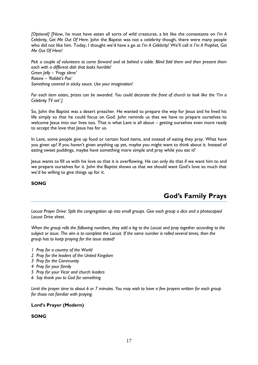*[Optional]* [Now, he must have eaten all sorts of wild creatures, a bit like the contestants on *I'm A Celebrity, Get Me Out Of Here.* John the Baptist was not a celebrity though, there were many people who did not like him. Today, I thought we'd have a go at *I'm A Celebrity!* We'll call it *I'm A Prophet, Get Me Out Of Here!*

*Pick a couple of volunteers to come forward and sit behind a table. Blind fold them and then present them each with a different dish that looks horrible! Green Jelly – 'Frogs slime' Raisins – 'Rabbit's Poo' Something covered in sticky sauce. Use your imagination!*

*For each item eaten, prizes can be awarded. You could decorate the front of church to look like the 'I'm a Celebrity TV set'.]*

So, John the Baptist was a desert preacher. He wanted to prepare the way for Jesus and he lived his life simply so that he could focus on God. John reminds us that we have to prepare ourselves to welcome lesus into our lives too. That is what Lent is all about – getting ourselves even more ready to accept the love that Jesus has for us.

In Lent, some people give up food or certain food items, and instead of eating they pray. What have you given up? If you haven't given anything up yet, maybe you might want to think about it. Instead of eating sweet puddings, maybe have something more simple and pray while you eat it?

Jesus wants to fill us with his love so that it is overflowing. He can only do that if we want him to and we prepare ourselves for it. John the Baptist shows us that we should want God's love so much that we'd be willing to give things up for it.

#### **SONG**

## **God's Family Prays**

*Locust Prayer Drive: Split the congregation up into small groups. Give each group a dice and a photocopied Locust Drive sheet.*

*When the group rolls the following numbers, they add a leg to the Locust and pray together according to the subject or issue. The aim is to complete the Locust. If the same number is rolled several times, then the group has to keep praying for the issue stated!*

- *1 Pray for a country of the World*
- *2 Pray for the leaders of the United Kingdom*
- *3 Pray for the Community*
- *4 Pray for your family*
- *5 Pray for your Vicar and church leaders*
- *6 Say thank you to God for something*

*Limit the prayer time to about 6 or 7 minutes. You may wish to have a few prayers written for each group for those not familiar with praying.*

#### **Lord's Prayer (Modern)**

#### **SONG**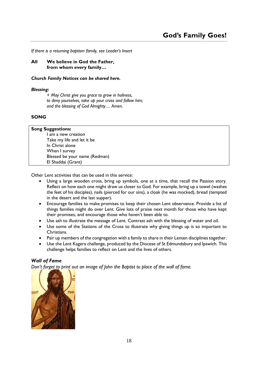*If there is a returning baptism family, see Leader's Insert*

**All We believe in God the Father, from whom every family…**

#### *Church Family Notices can be shared here.*

#### *Blessing:*

*+ May Christ give you grace to grow in holiness, to deny yourselves, take up your cross and follow him; and the blessing of God Almighty… Amen.*

#### **SONG**

| <b>Song Suggestions:</b>      |  |  |
|-------------------------------|--|--|
| am a new creation             |  |  |
| Take my life and let it be    |  |  |
| In Christ alone               |  |  |
| When I survey                 |  |  |
| Blessed be your name (Redman) |  |  |
| El Shaddai (Grant)            |  |  |

Other Lent activities that can be used in this service:

- Using a large wooden cross, bring up symbols, one at a time, that recall the Passion story. Reflect on how each one might draw us closer to God. For example, bring up a towel (washes the feet of his disciples), nails (pierced for our sins), a cloak (he was mocked), bread (tempted in the desert and the last supper).
- Encourage families to make promises to keep their chosen Lent observance. Provide a list of things families might do over Lent. Give lots of praise next month for those who have kept their promises, and encourage those who haven't been able to.
- Use ash to illustrate the message of Lent. Contrast ash with the blessing of water and oil.
- Use some of the Stations of the Cross to illustrate why giving things up is so important to Christians.
- Pair up members of the congregation with a family to share in their Lenten disciplines together.
- Use the Lent Kagera challenge, produced by the Diocese of St Edmundsbury and Ipswich. This challenge helps families to reflect on Lent and the lives of others.

#### *Wall of Fame*

*Don't forget to print out an image of John the Baptist to place of the wall of fame.*

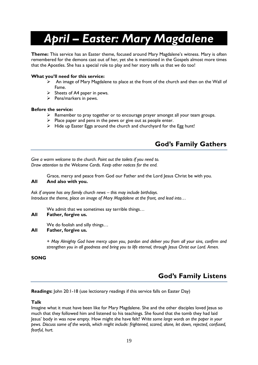# *April – Easter: Mary Magdalene*

**Theme:** This service has an Easter theme, focused around Mary Magdalene's witness. Mary is often remembered for the demons cast out of her, yet she is mentioned in the Gospels almost more times that the Apostles. She has a special role to play and her story tells us that *we* do too!

#### **What you'll need for this service:**

- ➢ An image of Mary Magdalene to place at the front of the church and then on the Wall of Fame.
- $\triangleright$  Sheets of A4 paper in pews.
- $\triangleright$  Pens/markers in pews.

#### **Before the service:**

- ➢ Remember to pray together or to encourage prayer amongst all your team groups.
- $\triangleright$  Place paper and pens in the pews or give out as people enter.
- ➢ Hide up Easter Eggs around the church and churchyard for the Egg hunt!

## **God's Family Gathers**

*Give a warm welcome to the church. Point out the toilets if you need to. Draw attention to the Welcome Cards. Keep other notices for the end.*

Grace, mercy and peace from God our Father and the Lord Jesus Christ be with you.

#### **All And also with you.**

*Ask if anyone has any family church news – this may include birthdays. Introduce the theme, place an image of Mary Magdalene at the front, and lead into…*

We admit that we sometimes say terrible things...

#### **All Father, forgive us.**

We do foolish and silly things…

#### **All Father, forgive us.**

*+ May Almighty God have mercy upon you, pardon and deliver you from all your sins, confirm and strengthen you in all goodness and bring you to life eternal, through Jesus Christ our Lord. Amen.*

#### **SONG**

## **God's Family Listens**

**Readings:** John 20:1-18 (use lectionary readings if this service falls on Easter Day)

#### **Talk**

Imagine what it must have been like for Mary Magdalene. She and the other disciples loved Jesus so much that they followed him and listened to his teachings. She found that the tomb they had laid Jesus' body in was now empty. How might she have felt? *Write some large words on the paper in your pews. Discuss some of the words, which might include: frightened, scared, alone, let down, rejected, confused, fearful, hurt.*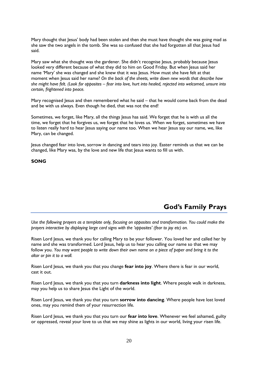Mary thought that Jesus' body had been stolen and then she must have thought she was going mad as she saw the two angels in the tomb. She was so confused that she had forgotten all that Jesus had said.

Mary saw what she thought was the gardener. She didn't recognise Jesus, probably because Jesus looked very different because of what they did to him on Good Friday. But when Jesus said her name 'Mary' she was changed and she knew that it was Jesus. How must she have felt at that moment when Jesus said her name? *On the back of the sheets, write down new words that describe how she might have felt. (Look for opposites – fear into love, hurt into healed, rejected into welcomed, unsure into certain, frightened into peace.*

Mary recognised Jesus and then remembered what he said – that he would come back from the dead and be with us always. Even though he died, that was not the end!

Sometimes, we forget, like Mary, all the things Jesus has said. We forget that he is with us all the time, we forget that he forgives us, we forget that he loves us. When we forget, sometimes we have to listen really hard to hear Jesus saying our name too. When we hear Jesus say our name, we, like Mary, can be changed.

Jesus changed fear into love, sorrow in dancing and tears into joy. Easter reminds us that we can be changed, like Mary was, by the love and new life that Jesus wants to fill us with.

#### **SONG**

## **God's Family Prays**

*Use the following prayers as a template only, focusing on opposites and transformation. You could make the prayers interactive by displaying large card signs with the 'opposites' (fear to joy etc) on.* 

Risen Lord Jesus, we thank you for calling Mary to be your follower. You loved her and called her by name and she was transformed. Lord Jesus, help us to hear you calling our name so that we may follow you. *You may want people to write down their own name on a piece of paper and bring it to the altar or pin it to a wall.*

Risen Lord Jesus, we thank you that you change **fear into joy**. Where there is fear in our world, cast it out.

Risen Lord Jesus, we thank you that you turn **darkness into light**. Where people walk in darkness, may you help us to share Jesus the Light of the world.

Risen Lord Jesus, we thank you that you turn **sorrow into dancing**. Where people have lost loved ones, may you remind them of your resurrection life.

Risen Lord Jesus, we thank you that you turn our **fear into love**. Whenever we feel ashamed, guilty or oppressed, reveal your love to us that we may shine as lights in our world, living your risen life.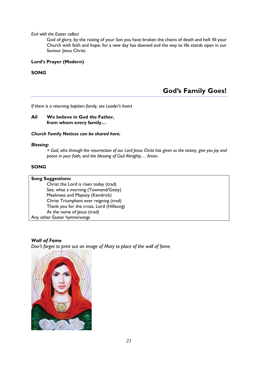#### *End with the Easter collect*

God of glory, by the raising of your Son you have broken the chains of death and hell: fill your Church with faith and hope; for a new day has dawned and the way to life stands open in our Saviour Jesus Christ.

#### **Lord's Prayer (Modern)**

#### **SONG**

## **God's Family Goes!**

*If there is a returning baptism family, see Leader's Insert*

#### **All We believe in God the Father, from whom every family…**

#### *Church Family Notices can be shared here.*

#### *Blessing:*

*+ God, who through the resurrection of our Lord Jesus Christ has given us the victory, give you joy and peace in your faith; and the blessing of God Almighty… Amen.*

#### **SONG**

#### **Song Suggestions:**

Christ the Lord is risen today (trad) See, what a morning (Townend/Getty) Meekness and Majesty (Kendrick) Christ Triumphant ever reigning (trad) Thank you for the cross, Lord (Hillsong) At the name of Jesus (trad) Any other Easter hymns/songs

#### *Wall of Fame*

*Don't forget to print out an image of Mary to place of the wall of fame.*

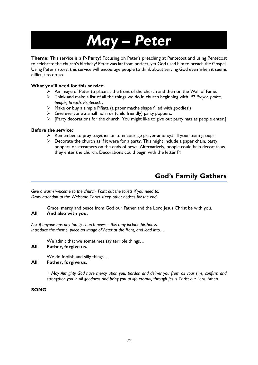# *May – Peter*

**Theme:** This service is a **P-Party**! Focusing on Peter's preaching at Pentecost and using Pentecost to celebrate the church's birthday! Peter was far from perfect, yet God used him to preach the Gospel. Using Peter's story, this service will encourage people to think about serving God even when it seems difficult to do so.

#### **What you'll need for this service:**

- $\triangleright$  An image of Peter to place at the front of the church and then on the Wall of Fame.
- ➢ Think and make a list of all the things we do in church beginning with 'P'! *Prayer, praise, people, preach, Pentecost…*
- ➢ Make or buy a simple Piñata (a paper mache shape filled with goodies!)
- $\triangleright$  Give everyone a small horn or (child friendly) party poppers.
- $\triangleright$  [Party decorations for the church. You might like to give out party hats as people enter.]

#### **Before the service:**

- ➢ Remember to pray together or to encourage prayer amongst all your team groups.
- $\triangleright$  Decorate the church as if it were for a party. This might include a paper chain, party poppers or streamers on the ends of pews. Alternatively, people could help decorate as they enter the church. Decorations could begin with the letter P!

## **God's Family Gathers**

*Give a warm welcome to the church. Point out the toilets if you need to. Draw attention to the Welcome Cards. Keep other notices for the end.*

Grace, mercy and peace from God our Father and the Lord Jesus Christ be with you. **All And also with you.**

*Ask if anyone has any family church news – this may include birthdays. Introduce the theme, place an image of Peter at the front, and lead into…*

We admit that we sometimes say terrible things...

#### **All Father, forgive us.**

We do foolish and silly things…

#### **All Father, forgive us.**

*+ May Almighty God have mercy upon you, pardon and deliver you from all your sins, confirm and strengthen you in all goodness and bring you to life eternal, through Jesus Christ our Lord. Amen.*

#### **SONG**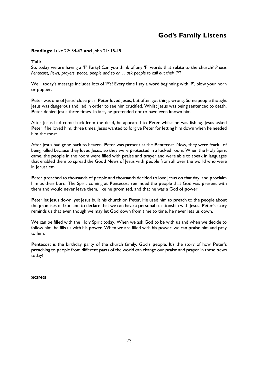#### **Readings:** Luke 22: 54-62 **and** John 21: 15-19

#### **Talk**

So, today we are having a 'P' Party! Can you think of any 'P' words that relate to the church? *Praise, Pentecost, Pews, prayers, peace, people and so on… ask people to call out their 'P'!*

Well, today's message includes lots of 'P's! Every time I say a word beginning with 'P', blow your horn or popper.

Peter was one of Jesus' close pals. Peter loved Jesus, but often got things wrong. Some people thought Jesus was dangerous and lied in order to see him crucified. Whilst Jesus was being sentenced to death, Peter denied Jesus three times. In fact, he pretended not to have even known him.

After Jesus had come back from the dead, he appeared to **P**eter whilst he was fishing. Jesus asked Peter if he loved him, three times. Jesus wanted to forgive Peter for letting him down when he needed him the most.

After Jesus had gone back to heaven, **P**eter was **p**resent at the **P**entecost. Now, they were fearful of being killed because they loved Jesus, so they were **p**rotected in a locked room. When the Holy Spirit came, the **p**eople in the room were filled with **p**raise and **p**rayer and were able to speak in languages that enabled them to spread the Good News of Jesus with **p**eople from all over the world who were in Jerusalem.

Peter **preached to thousands of people and thousands decided to love Jesus on that day, and <b>proclaim** him as their Lord. The Spirit coming at **P**entecost reminded the **p**eople that God was **p**resent with them and would never leave them, like he **p**romised, and that he was a God of **p**ower.

Peter let Jesus down, yet Jesus built his church on Peter. He used him to preach to the people about the **p**romises of God and to declare that we can have a **p**ersonal relationship with Jesus. **P**eter's story reminds us that even though we may let God down from time to time, he never lets us down.

We can be filled with the Holy Spirit today. When we ask God to be with us and when we decide to follow him, he fills us with his **p**ower. When we are filled with his **p**ower, we can **p**raise him and **p**ray to him.

**P**entecost is the birthday **p**arty of the church family, God's **p**eople. It's the story of how **P**eter's **p**reaching to **p**eople from different **p**arts of the world can change our **p**raise and **p**rayer in these **p**ews today!

**SONG**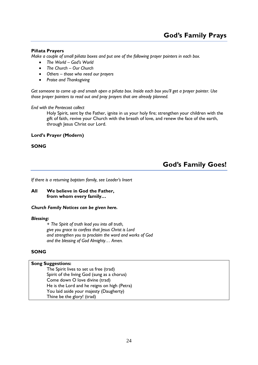#### **Piñata Prayers**

*Make a couple of small piñata boxes and put one of the following prayer pointers in each box.*

- *The World – God's World*
- *The Church – Our Church*
- *Others – those who need our prayers*
- *Praise and Thanksgiving*

*Get someone to come up and smash open a piñata box. Inside each box you'll get a prayer pointer. Use those prayer pointers to read out and pray prayers that are already planned.*

#### *End with the Pentecost collect*

Holy Spirit, sent by the Father, ignite in us your holy fire; strengthen your children with the gift of faith, revive your Church with the breath of love, and renew the face of the earth, through Jesus Christ our Lord.

#### **Lord's Prayer (Modern)**

#### **SONG**

## **God's Family Goes!**

*If there is a returning baptism family, see Leader's Insert*

#### **All We believe in God the Father, from whom every family…**

#### *Church Family Notices can be given here.*

#### *Blessing:*

*+ The Spirit of truth lead you into all truth, give you grace to confess that Jesus Christ is Lord and strengthen you to proclaim the word and works of God and the blessing of God Almighty… Amen.*

#### **SONG**

#### **Song Suggestions:**

The Spirit lives to set us free (trad) Spirit of the living God (sung as a chorus) Come down O love divine (trad) He is the Lord and he reigns on high (Petra) You laid aside your majesty (Daugherty) Thine be the glory! (trad)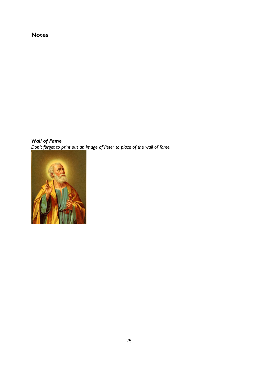## **Notes**

*Wall of Fame Don't forget to print out an image of Peter to place of the wall of fame.*

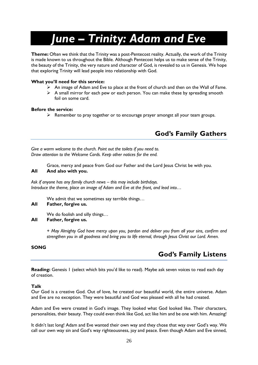# *June – Trinity: Adam and Eve*

**Theme:** Often we think that the Trinity was a post-Pentecost reality. Actually, the work of the Trinity is made known to us throughout the Bible. Although Pentecost helps us to make sense of the Trinity, the beauty of the Trinity, the very nature and character of God, is revealed to us in Genesis. We hope that exploring Trinity will lead people into relationship with God.

#### **What you'll need for this service:**

- ➢ An image of Adam and Eve to place at the front of church and then on the Wall of Fame.
- $\triangleright$  A small mirror for each pew or each person. You can make these by spreading smooth foil on some card.

#### **Before the service:**

➢ Remember to pray together or to encourage prayer amongst all your team groups.

## **God's Family Gathers**

*Give a warm welcome to the church. Point out the toilets if you need to. Draw attention to the Welcome Cards. Keep other notices for the end.*

Grace, mercy and peace from God our Father and the Lord Jesus Christ be with you. **All And also with you.**

*Ask if anyone has any family church news – this may include birthdays. Introduce the theme, place an image of Adam and Eve at the front, and lead into…*

We admit that we sometimes say terrible things…

#### **All Father, forgive us.**

We do foolish and silly things…

#### **All Father, forgive us.**

*+ May Almighty God have mercy upon you, pardon and deliver you from all your sins, confirm and strengthen you in all goodness and bring you to life eternal, through Jesus Christ our Lord. Amen.*

#### **SONG**

## **God's Family Listens**

**Reading:** Genesis 1 (select which bits you'd like to read). Maybe ask seven voices to read each day of creation.

#### **Talk**

Our God is a creative God. Out of love, he created our beautiful world, the entire universe. Adam and Eve are no exception. They were beautiful and God was pleased with all he had created.

Adam and Eve were created in God's image. They looked what God looked like. Their characters, personalities, their beauty. They could even think like God, act like him and be one with him. Amazing!

It didn't last long! Adam and Eve wanted their own way and they chose that way over God's way. We call our own way sin and God's way righteousness, joy and peace. Even though Adam and Eve sinned,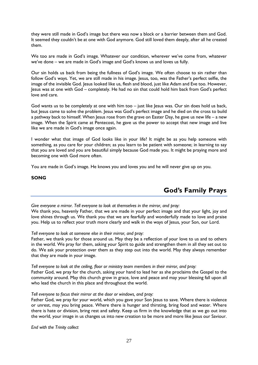they were still made in God's image but there was now a block or a barrier between them and God. It seemed they couldn't be at one with God anymore. God still loved them deeply, after all he created them.

We too are made in God's image. Whatever our condition, wherever we've come from, whatever we've done – we are made in God's image and God's knows us and loves us fully.

Our sin holds us back from being the fullness of God's image. We often choose to sin rather than follow God's ways. Yet, we are still made in his image. Jesus, too, was the Father's perfect selfie, the image of the invisible God. Jesus looked like us, flesh and blood, just like Adam and Eve too. However, Jesus was at one with God – completely. He had no sin that could hold him back from God's perfect love and care.

God wants us to be completely at one with him too – just like Jesus was. Our sin does hold us back, but Jesus came to solve the problem. Jesus was God's perfect image and he died on the cross to build a pathway back to himself. When Jesus rose from the grave on Easter Day, he gave us new life – a new image. When the Spirit came at Pentecost, he gave us the power to accept that new image and live like we are made in God's image once again.

I wonder what that image of God looks like in your life? It might be as you help someone with something, as you care for your children; as you learn to be patient with someone; in learning to say that you are loved and you are beautiful simply because God made you. It might be praying more and becoming one with God more often.

You are made in God's image. He knows you and loves you and he will never give up on you.

#### **SONG**

## **God's Family Prays**

*Give everyone a mirror. Tell everyone to look at themselves in the mirror, and pray:* We thank you, heavenly Father, that we are made in your perfect image and that your light, joy and love shines through us. We thank you that we are fearfully and wonderfully made to love and praise you. Help us to reflect your truth more clearly and walk in the ways of Jesus, your Son, our Lord.

#### *Tell everyone to look at someone else in their mirror, and pray:*

Father, we thank you for those around us. May they be a reflection of your love to us and to others in the world. We pray for them, asking your Spirit to guide and strengthen them in all they set out to do. We ask your protection over them as they step out into the world. May they always remember that they are made in your image.

*Tell everyone to look at the ceiling, floor or ministry team members in their mirror, and pray:* Father God, we pray for the church, asking your hand to lead her as she proclaims the Gospel to the community around. May this church grow in grace, love and peace and may your blessing fall upon all who lead the church in this place and throughout the world.

#### *Tell everyone to focus their mirror at the door or windows, and pray:*

Father God, we pray for your world, which you gave your Son Jesus to save. Where there is violence or unrest, may you bring peace. Where there is hunger and thirsting, bring food and water. Where there is hate or division, bring rest and safety. Keep us firm in the knowledge that as we go out into the world, your image in us changes us into new creation to be more and more like Jesus our Saviour.

*End with the Trinity collect*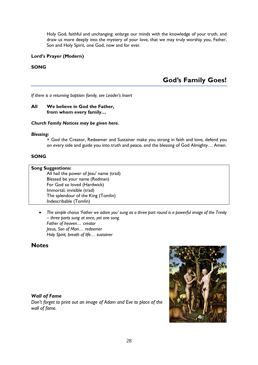Holy God, faithful and unchanging: enlarge our minds with the knowledge of your truth, and draw us more deeply into the mystery of your love, that we may truly worship you, Father, Son and Holy Spirit, one God, now and for ever.

#### **Lord's Prayer (Modern)**

#### **SONG**

## **God's Family Goes!**

*If there is a returning baptism family, see Leader's Insert*

#### **All We believe in God the Father, from whom every family…**

#### *Church Family Notices may be given here.*

#### *Blessing:*

+ God the Creator, Redeemer and Sustainer make you strong in faith and love, defend you on every side and guide you into truth and peace, and the blessing of God Almighty… Amen.

#### **SONG**

| <b>Song Suggestions:</b>                |  |  |
|-----------------------------------------|--|--|
| All hail the power of Jesu' name (trad) |  |  |
| Blessed be your name (Redman)           |  |  |
| For God so loved (Hardwick)             |  |  |
| Immortal, invisible (trad)              |  |  |
| The splendour of the King (Tomlin)      |  |  |
| Indescribable (Tomlin)                  |  |  |

• *The simple chorus 'Father we adore you' sung as a three part round is a powerful image of the Trinity – three parts sung at once, yet one song. Father of heaven… creator Jesus, Son of Man… redeemer Holy Spirit, breath of life… sustainer*

#### **Notes**

#### *Wall of Fame*

*Don't forget to print out an image of Adam and Eve to place of the wall of fame.*

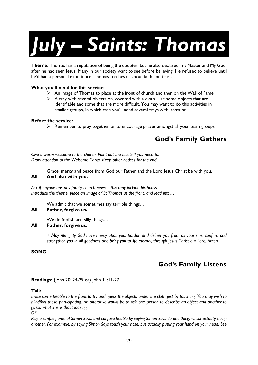# *July – Saints: Thomas*

**Theme:** Thomas has a reputation of being the doubter, but he also declared 'my Master and My God' after he had seen Jesus. Many in our society want to see before believing. He refused to believe until he'd had a personal experience. Thomas teaches us about faith and trust.

#### **What you'll need for this service:**

- $\triangleright$  An image of Thomas to place at the front of church and then on the Wall of Fame.
- $\triangleright$  A tray with several objects on, covered with a cloth. Use some objects that are identifiable and some that are more difficult. You may want to do this activities in smaller groups, in which case you'll need several trays with items on.

#### **Before the service:**

 $\triangleright$  Remember to pray together or to encourage prayer amongst all your team groups.

## **God's Family Gathers**

*Give a warm welcome to the church. Point out the toilets if you need to. Draw attention to the Welcome Cards. Keep other notices for the end.*

Grace, mercy and peace from God our Father and the Lord Jesus Christ be with you. **All And also with you.**

*Ask if anyone has any family church news – this may include birthdays. Introduce the theme, place an image of St Thomas at the front, and lead into…*

We admit that we sometimes say terrible things…

#### **All Father, forgive us.**

We do foolish and silly things…

#### **All Father, forgive us.**

*+ May Almighty God have mercy upon you, pardon and deliver you from all your sins, confirm and strengthen you in all goodness and bring you to life eternal, through Jesus Christ our Lord. Amen.*

#### **SONG**

## **God's Family Listens**

#### **Readings: (**John 20: 24-29 or) John 11:11-27

#### **Talk**

*Invite some people to the front to try and guess the objects under the cloth just by touching. You may wish to blindfold those participating. An alterative would be to ask one person to describe an object and another to guess what it is without looking.*

*Play a simple game of Simon Says, and confuse people by saying Simon Says do one thing, whilst actually doing another. For example, by saying Simon Says touch your nose, but actually putting your hand on your head. See* 

*OR*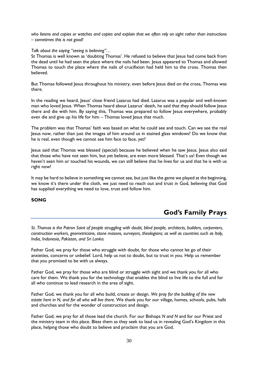*who listens and copies or watches and copies and explain that we often rely on sight rather than instructions – sometimes this is not good!*

*Talk about the saying "seeing is believing"…* 

St Thomas is well known as 'doubting Thomas'. He refused to believe that Jesus had come back from the dead until he had seen the place where the nails had been. Jesus appeared to Thomas and allowed Thomas to touch the place where the nails of crucifixion had held him to the cross. Thomas then believed.

But Thomas followed Jesus throughout his ministry, even before Jesus died on the cross, Thomas was there.

In the reading we heard, Jesus' close friend Lazarus had died. Lazarus was a popular and well-known man who loved Jesus. When Thomas heard about Lazarus' death, he said that they should follow Jesus there and die with him. By saying this, Thomas was prepared to follow Jesus everywhere, probably even die and give up his life for him – Thomas loved Jesus that much.

The problem was that Thomas' faith was based on what he could see and touch. Can we see the real Jesus now, rather than just the images of him around us in stained glass windows? Do we know that he is real, even though we cannot see him face to face, yet?

Jesus said that Thomas was blessed (special) because he believed when he saw Jesus. Jesus also said that those who have not seen him, but yet believe, are even more blessed. That's us! Even though we haven't seen him or touched his wounds, we can still believe that he lives for us and that he is with us right now!

It may be hard to believe in something we cannot see, but just like the game we played at the beginning, we know it's there under the cloth, we just need to reach out and trust in God, believing that God has supplied everything we need to love, trust and follow him.

#### **SONG**

## **God's Family Prays**

*St. Thomas is the Patron Saint of people struggling with doubt, blind people, architects, builders, carpenters, construction workers, geometricians, stone masons, surveyors, theologians; as well as countries such as Italy, India, Indonesia, Pakistan, and Sri Lanka.*

Father God, we pray for those who struggle with doubt, for those who cannot let go of their anxieties, concerns or unbelief. Lord, help us not to doubt, but to trust in you. Help us remember that you promised to be with us always.

Father God, we pray for those who are blind or struggle with sight and we thank you for all who care for them. We thank you for the technology that enables the blind to live life to the full and for all who continue to lead research in the area of sight.

Father God, we thank you for all who build, create or design. *We pray for the building of the new estate here in N, and for all who will live there.* We thank you for our village, homes, schools, pubs, halls and churches and for the wonder of construction and design.

Father God, we pray for all those lead the church. For our Bishops *N and N* and for our Priest and the ministry team in this place. Bless them as they seek to lead us in revealing God's Kingdom in this place, helping those who doubt to believe and proclaim that you are God.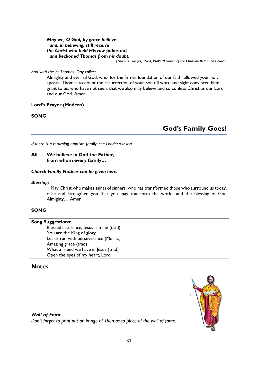*May we, O God, by grace believe and, in believing, still receive the Christ who held His raw palms out and beckoned Thomas from his doubt.*

*(Thomas Troeger, 1984, Psalter/Hymnal of the Christian Reformed Church)*

#### *End with the St Thomas' Day collect*

Almighty and eternal God, who, for the firmer foundation of our faith, allowed your holy apostle Thomas to doubt the resurrection of your Son till word and sight convinced him: grant to us, who have not seen, that we also may believe and so confess Christ as our Lord and our God. Amen.

#### **Lord's Prayer (Modern)**

#### **SONG**

**God's Family Goes!**

*If there is a returning baptism family, see Leader's Insert*

#### **All We believe in God the Father, from whom every family…**

#### *Church Family Notices can be given here.*

#### *Blessing:*

+ May Christ who makes saints of sinners, who has transformed those who surround us today, raise and strengthen you that you may transform the world; and the blessing of God Almighty… Amen.

#### **SONG**

#### **Song Suggestions:**

Blessed assurance, Jesus is mine (trad) You are the King of glory Let us run with perseverance (Morris) Amazing grace (trad) What a friend we have in Jesus (trad) Open the eyes of my heart, Lord

#### **Notes**

#### *Wall of Fame*

*Don't forget to print out an image of Thomas to place of the wall of fame.*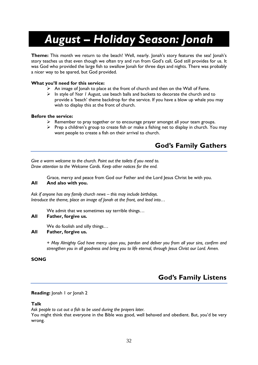# *August – Holiday Season: Jonah*

**Theme:** This month we return to the beach! Well, nearly. Jonah's story features the sea! Jonah's story teaches us that even though we often try and run from God's call, God still provides for us. It was God who provided the large fish to swallow Jonah for three days and nights. There was probably a nicer way to be spared, but God provided.

#### **What you'll need for this service:**

- $\triangleright$  An image of Jonah to place at the front of church and then on the Wall of Fame.
- ➢ In style of *Year 1 August*, use beach balls and buckets to decorate the church and to provide a 'beach' theme backdrop for the service. If you have a blow up whale you may wish to display this at the front of church.

#### **Before the service:**

- $\triangleright$  Remember to pray together or to encourage prayer amongst all your team groups.
- ➢ Prep a children's group to create fish or make a fishing net to display in church. You may want people to create a fish on their arrival to church.

## **God's Family Gathers**

*Give a warm welcome to the church. Point out the toilets if you need to. Draw attention to the Welcome Cards. Keep other notices for the end.*

Grace, mercy and peace from God our Father and the Lord Jesus Christ be with you. **All And also with you.**

*Ask if anyone has any family church news – this may include birthdays. Introduce the theme, place an image of Jonah at the front, and lead into…*

We admit that we sometimes say terrible things…

#### **All Father, forgive us.**

We do foolish and silly things…

#### **All Father, forgive us.**

*+ May Almighty God have mercy upon you, pardon and deliver you from all your sins, confirm and strengthen you in all goodness and bring you to life eternal, through Jesus Christ our Lord. Amen.*

#### **SONG**

## **God's Family Listens**

#### **Reading:** Jonah 1 or Jonah 2

#### **Talk**

*Ask people to cut out a fish to be used during the prayers later.* You might think that everyone in the Bible was good, well behaved and obedient. But, you'd be very wrong.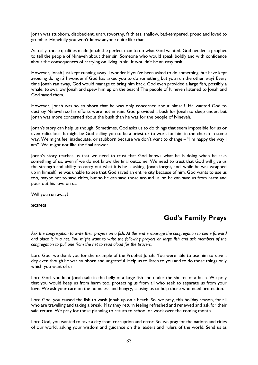Jonah was stubborn, disobedient, untrustworthy, faithless, shallow, bad-tempered, proud and loved to grumble. Hopefully you won't know anyone quite like that.

Actually, those qualities made Jonah the perfect man to do what God wanted. God needed a prophet to tell the people of Nineveh about their sin. Someone who would speak boldly and with confidence about the consequences of carrying on living in sin. It wouldn't be an easy task!

However, Jonah just kept running away. I wonder if you've been asked to do something, but have kept avoiding doing it? I wonder if God has asked you to do something but you run the other way? Every time Jonah ran away, God would manage to bring him back. God even provided a large fish, possibly a whale, to swallow Jonah and spew him up on the beach! The people of Nineveh listened to Jonah and God saved them.

However, Jonah was so stubborn that he was only concerned about himself. He wanted God to destroy Nineveh so his efforts were not in vain. God provided a bush for Jonah to sleep under, but Jonah was more concerned about the bush than he was for the people of Nineveh.

Jonah's story can help us though. Sometimes, God asks us to do things that seem impossible for us or even ridiculous. It might be God calling you to be a priest or to work for him in the church in some way. We might feel inadequate, or stubborn because we don't want to change – "I'm happy the way I am". We might not like the final answer.

Jonah's story teaches us that we need to trust that God knows what he is doing when he asks something of us, even if we do not know the final outcome. We need to trust that God will give us the strength and ability to carry out what it is he is asking. Jonah forgot, and, while he was wrapped up in himself, he was unable to see that God saved an entire city because of him. God wants to use us too, maybe not to save cities, but so he can save those around us, so he can save us from harm and pour out his love on us.

Will you run away?

**SONG**

## **God's Family Prays**

*Ask the congregation to write their prayers on a fish. At the end encourage the congregation to come forward and place it in a net. You might want to write the following prayers on large fish and ask members of the congregation to pull one from the net to read aloud for the prayers.*

Lord God, we thank you for the example of the Prophet Jonah. You were able to use him to save a city even though he was stubborn and ungrateful. Help us to listen to you and to do those things only which you want of us.

Lord God, you kept Jonah safe in the belly of a large fish and under the shelter of a bush. We pray that you would keep us from harm too, protecting us from all who seek to separate us from your love. We ask your care on the homeless and hungry, causing us to help those who need protection.

Lord God, you caused the fish to wash Jonah up on a beach. So, we pray, this holiday season, for all who are travelling and taking a break. May they return feeling refreshed and renewed and ask for their safe return. We pray for those planning to return to school or work over the coming month.

Lord God, you wanted to save a city from corruption and error. So, we pray for the nations and cities of our world, asking your wisdom and guidance on the leaders and rulers of the world. Send us as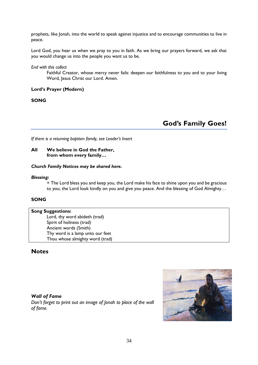prophets, like Jonah, into the world to speak against injustice and to encourage communities to live in peace.

Lord God, you hear us when we pray to you in faith. As we bring our prayers forward, we ask that you would change us into the people you want us to be.

*End with this collect*

Faithful Creator, whose mercy never fails: deepen our faithfulness to you and to your living Word, Jesus Christ our Lord. Amen.

#### **Lord's Prayer (Modern)**

**SONG**

## **God's Family Goes!**

*If there is a returning baptism family, see Leader's Insert*

#### **All We believe in God the Father, from whom every family…**

#### *Church Family Notices may be shared here.*

#### *Blessing:*

+ The Lord bless you and keep you, the Lord make his face to shine upon you and be gracious to you; the Lord look kindly on you and give you peace. And the blessing of God Almighty…

#### **SONG**

#### **Song Suggestions:**

Lord, thy word abideth (trad) Spirit of holiness (trad) Ancient words (Smith) Thy word is a lamp unto our feet Thou whose almighty word (trad)

#### **Notes**

#### *Wall of Fame*

*Don't forget to print out an image of Jonah to place of the wall of fame.*

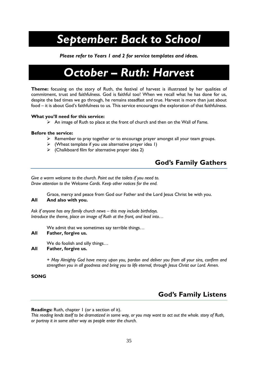# *September: Back to School*

*Please refer to Years 1 and 2 for service templates and ideas.*

## *October – Ruth: Harvest*

**Theme:** focusing on the story of Ruth, the festival of harvest is illustrated by her qualities of commitment, trust and faithfulness. God is faithful too! When we recall what he has done for us, despite the bad times we go through, he remains steadfast and true. Harvest is more than just about food – it is about God's faithfulness to us. This service encourages the exploration of that faithfulness.

#### **What you'll need for this service:**

➢ An image of Ruth to place at the front of church and then on the Wall of Fame.

#### **Before the service:**

- $\triangleright$  Remember to pray together or to encourage prayer amongst all your team groups.
- $\triangleright$  (Wheat template if you use alternative prayer idea 1)
- $\triangleright$  (Chalkboard film for alternative prayer idea 2)

## **God's Family Gathers**

*Give a warm welcome to the church. Point out the toilets if you need to. Draw attention to the Welcome Cards. Keep other notices for the end.*

Grace, mercy and peace from God our Father and the Lord Jesus Christ be with you. **All And also with you.**

*Ask if anyone has any family church news – this may include birthdays. Introduce the theme, place an image of Ruth at the front, and lead into…*

We admit that we sometimes say terrible things…

#### **All Father, forgive us.**

We do foolish and silly things… **All Father, forgive us.**

> *+ May Almighty God have mercy upon you, pardon and deliver you from all your sins, confirm and strengthen you in all goodness and bring you to life eternal, through Jesus Christ our Lord. Amen.*

#### **SONG**

## **God's Family Listens**

**Readings:** Ruth, chapter 1 (or a section of it).

*This reading lends itself to be dramatized in some way, or you may want to act out the whole. story of Ruth, or portray it in some other way as people enter the church.*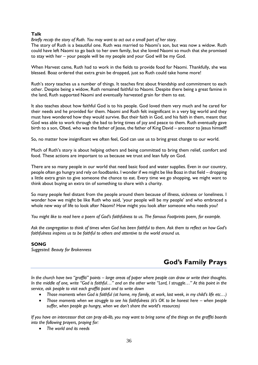#### **Talk**

*Briefly recap the story of Ruth. You may want to act out a small part of her story.*

The story of Ruth is a beautiful one. Ruth was married to Naomi's son, but was now a widow. Ruth could have left Naomi to go back to her own family, but she loved Naomi so much that she promised to stay with her – your people will be my people and your God will be my God.

When Harvest came, Ruth had to work in the fields to provide food for Naomi. Thankfully, she was blessed. Boaz ordered that extra grain be dropped, just so Ruth could take home more!

Ruth's story teaches us a number of things. It teaches first about friendship and commitment to each other. Despite being a widow, Ruth remained faithful to Naomi. Despite there being a great famine in the land, Ruth supported Naomi and eventually harvested grain for them to eat.

It also teaches about how faithful God is to his people. God loved them very much and he cared for their needs and he provided for them. Naomi and Ruth felt insignificant in a very big world and they must have wondered how they would survive. But their faith in God, and his faith in them, meant that God was able to work through the bad to bring times of joy and peace to them. Ruth eventually gave birth to a son, Obed, who was the father of Jesse, the father of King David – ancestor to Jesus himself!

So, no matter how insignificant we often feel, God can use us to bring great change to our world.

Much of Ruth's story is about helping others and being committed to bring them relief, comfort and food. These actions are important to us because we trust and lean fully on God.

There are so many people in our world that need basic food and water supplies. Even in our country, people often go hungry and rely on foodbanks. I wonder if we might be like Boaz in that field – dropping a little extra grain to give someone the chance to eat. Every time we go shopping, we might want to think about buying an extra tin of something to share with a charity.

So many people feel distant from the people around them because of illness, sickness or loneliness. I wonder how we might be like Ruth who said, 'your people will be my people' and who embraced a whole new way of life to look after Naomi? How might you look after someone who needs you?

*You might like to read here a poem of God's faithfulness to us. The famous Footprints poem, for example.*

*Ask the congregation to think of times when God has been faithful to them. Ask them to reflect on how God's faithfulness inspires us to be faithful to others and attentive to the world around us.*

#### **SONG**

*Suggested: Beauty for Brokenness*

## **God's Family Prays**

*In the church have two "graffiti" points – large areas of paper where people can draw or write their thoughts. In the middle of one, write "God is faithful…" and on the other write "Lord, I struggle…" At this point in the service, ask people to visit each graffiti point and to write down*

- *Those moments when God is faithful (at home, my family, at work, last week, in my child's life etc…)*
- *Those moments when we struggle to see his faithfulness (it's OK to be honest here – when people suffer, when people go hungry, when we don't share the world's resources)*

*If you have an intercessor that can pray ab-lib, you may want to bring some of the things on the graffiti boards into the following prayers, praying for:*

• *The world and its needs*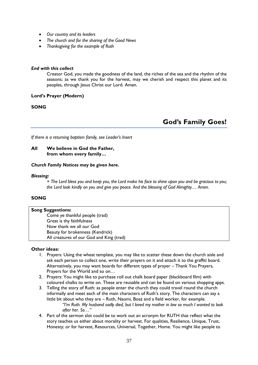- *Our country and its leaders*
- *The church and for the sharing of the Good News*
- *Thanksgiving for the example of Ruth*

#### *End with this collect*

Creator God, you made the goodness of the land, the riches of the sea and the rhythm of the seasons; as we thank you for the harvest, may we cherish and respect this planet and its peoples, through Jesus Christ our Lord. Amen.

#### **Lord's Prayer (Modern)**

#### **SONG**

## **God's Family Goes!**

*If there is a returning baptism family, see Leader's Insert*

#### **All We believe in God the Father, from whom every family…**

#### *Church Family Notices may be given here.*

#### *Blessing:*

*+ The Lord bless you and keep you, the Lord make his face to shine upon you and be gracious to you; the Lord look kindly on you and give you peace. And the blessing of God Almighty… Amen.*

#### **SONG**

#### **Song Suggestions:**

Come ye thankful people (trad) Great is thy faithfulness Now thank we all our God Beauty for brokenness (Kendrick) All creatures of our God and King (trad)

#### **Other ideas:**

- 1. Prayers: Using the wheat template, you may like to scatter these down the church aisle and ask each person to collect one, write their prayers on it and attach it to the graffiti board. Alternatively, you may want boards for different types of prayer – Thank You Prayers, Prayers for the World and so on…
- 2. Prayers: You might like to purchase roll out chalk board paper (blackboard film) with coloured chalks to write on. These are reusable and can be found on various shopping apps.
- 3. Telling the story of Ruth: as people enter the church they could travel round the church informally and meet each of the main characters of Ruth's story. The characters can say a little bit about who they are – Ruth, Naomi, Boaz and a field worker, for example. "I'm Ruth. My husband sadly died, but I loved my mother in law so much I wanted to look *after her. So…"*
- 4. Part of the sermon slot could be to work out an acronym for RUTH that reflect what the story teaches us either about morality or harvest. For qualities, Resilience, Unique, Trust, Honesty; or for harvest, Resources, Universal, Together, Home. You might like people to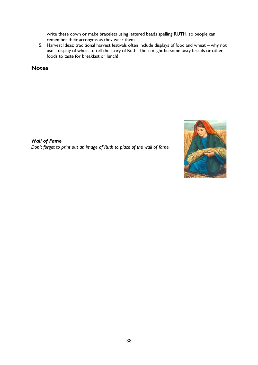write these down or make bracelets using lettered beads spelling RUTH, so people can remember their acronyms as they wear them.

5. Harvest Ideas: traditional harvest festivals often include displays of food and wheat – why not use a display of wheat to tell the story of Ruth. There might be some tasty breads or other foods to taste for breakfast or lunch!

**Notes**

*Wall of Fame Don't forget to print out an image of Ruth to place of the wall of fame.*

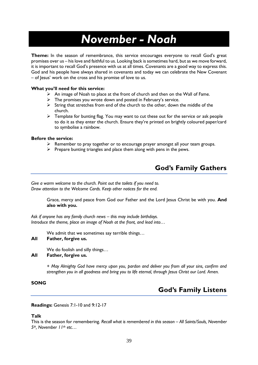# *November - Noah*

**Theme:** In the season of remembrance, this service encourages everyone to recall God's great promises over us – his love and faithful to us. Looking back is sometimes hard, but as we move forward, it is important to recall God's presence with us at all times. Covenants are a good way to express this. God and his people have always shared in covenants and today we can celebrate the New Covenant – of Jesus' work on the cross and his promise of love to us.

#### **What you'll need for this service:**

- $\triangleright$  An image of Noah to place at the front of church and then on the Wall of Fame.
- $\triangleright$  The promises you wrote down and posted in February's service.
- $\triangleright$  String that stretches from end of the church to the other, down the middle of the church.
- $\triangleright$  Template for bunting flag. You may want to cut these out for the service or ask people to do it as they enter the church. Ensure they're printed on brightly coloured paper/card to symbolise a rainbow.

#### **Before the service:**

- $\triangleright$  Remember to pray together or to encourage prayer amongst all your team groups.
- $\triangleright$  Prepare bunting triangles and place them along with pens in the pews.

## **God's Family Gathers**

*Give a warm welcome to the church. Point out the toilets if you need to. Draw attention to the Welcome Cards. Keep other notices for the end.*

> Grace, mercy and peace from God our Father and the Lord Jesus Christ be with you. **And also with you.**

*Ask if anyone has any family church news – this may include birthdays. Introduce the theme, place an image of Noah at the front, and lead into…*

We admit that we sometimes say terrible things…

#### **All Father, forgive us.**

We do foolish and silly things…

#### **All Father, forgive us.**

*+ May Almighty God have mercy upon you, pardon and deliver you from all your sins, confirm and strengthen you in all goodness and bring you to life eternal, through Jesus Christ our Lord. Amen.*

#### **SONG**

## **God's Family Listens**

**Readings:** Genesis 7:1-10 and 9:12-17

#### **Talk**

This is the season for remembering. *Recall what is remembered in this season – All Saints/Souls, November 5th, November 11th etc…*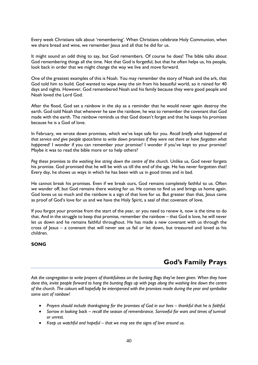Every week Christians talk about 'remembering'. When Christians celebrate Holy Communion, when we share bread and wine, we remember Jesus and all that he did for us.

It might sound an odd thing to say, but God remembers. Of course he does! The bible talks about God remembering things all the time. Not that God is forgetful, but that he often helps us, his people, look back in order that we might change the way we live and move forward.

One of the greatest examples of this is Noah. You may remember the story of Noah and the ark, that God told him to build. God wanted to wipe away the sin from his beautiful world, so it rained for 40 days and nights. However, God remembered Noah and his family because they were good people and Noah loved the Lord God.

After the flood, God set a rainbow in the sky as a reminder that he would never again destroy the earth. God told Noah that whenever he saw the rainbow, he was to remember the covenant that God made with the earth. The rainbow reminds us that God doesn't forget and that he keeps his promises because he is a God of love.

In February, we wrote down promises, which we've kept safe for you. *Recall briefly what happened at that service and give people space/time to write down promises if they were not there or have forgotten what happened!* I wonder if you can remember your promise? I wonder if you've kept to your promise? Maybe it was to read the bible more or to help others?

*Peg these promises to the washing line string down the centre of the church.* Unlike us, God never forgets his promise. God promised that he will be with us till the end of the age. He has never forgotten that! Every day, he shows us ways in which he has been with us in good times and in bad.

He cannot break his promises. Even if we break ours, God remains completely faithful to us. Often we wander off, but God remains there waiting for us. He comes to find us and brings us home again. God loves us so much and the rainbow is a sign of that love for us. But greater than that, Jesus came as proof of God's love for us and we have the Holy Spirit, a seal of that covenant of love.

If you forgot your promise from the start of the year, or you need to renew it, now is the time to do that. And in the struggle to keep that promise, remember the rainbow – that God is love, he will never let us down and he remains faithful throughout. He has made a new covenant with us through the cross of Jesus – a covenant that will never see us fail or let down, but treasured and loved as his children.

#### **SONG**

## **God's Family Prays**

*Ask the congregation to write prayers of thankfulness on the bunting flags they've been given. When they have done this, invite people forward to hang the bunting flags up with pegs along the washing line down the centre of the church. The colours will hopefully be interspersed with the promises made during the year and symbolise some sort of rainbow!*

- Prayers should include thanksgiving for the promises of God in our lives thankful that he is faithful.
- *Sorrow in looking back – recall the season of remembrance. Sorrowful for wars and times of turmoil or unrest.*
- *Keep us watchful and hopeful – that we may see the signs of love around us.*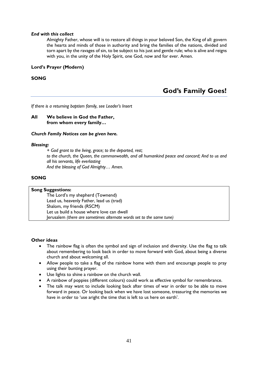#### *End with this collect*

Almighty Father, whose will is to restore all things in your beloved Son, the King of all: govern the hearts and minds of those in authority and bring the families of the nations, divided and torn apart by the ravages of sin, to be subject to his just and gentle rule; who is alive and reigns with you, in the unity of the Holy Spirit, one God, now and for ever. Amen.

#### **Lord's Prayer (Modern)**

#### **SONG**

## **God's Family Goes!**

*If there is a returning baptism family, see Leader's Insert*

#### **All We believe in God the Father, from whom every family…**

#### *Church Family Notices can be given here.*

#### *Blessing:*

*+ God grant to the living, grace; to the departed, rest; to the church, the Queen, the commonwealth, and all humankind peace and concord; And to us and all his servants, life everlasting And the blessing of God Almighty… Amen.*

#### **SONG**

| <b>Song Suggestions:</b> |                                                                      |  |
|--------------------------|----------------------------------------------------------------------|--|
|                          | The Lord's my shepherd (Townend)                                     |  |
|                          | Lead us, heavenly Father, lead us (trad)                             |  |
|                          | Shalom, my friends (RSCM)                                            |  |
|                          | Let us build a house where love can dwell                            |  |
|                          | Jerusalem (there are sometimes alternate words set to the same tune) |  |

#### **Other ideas**

- The rainbow flag is often the symbol and sign of inclusion and diversity. Use the flag to talk about remembering to look back in order to move forward with God, about being a diverse church and about welcoming all.
- Allow people to take a flag of the rainbow home with them and encourage people to pray using their bunting prayer.
- Use lights to shine a rainbow on the church wall.
- A rainbow of poppies (different colours) could work as effective symbol for remembrance.
- The talk may want to include looking back after times of war in order to be able to move forward in peace. Or looking back when we have lost someone, treasuring the memories we have in order to 'use aright the time that is left to us here on earth'.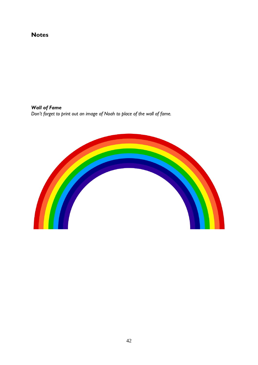## **Notes**

*Wall of Fame Don't forget to print out an image of Noah to place of the wall of fame.*